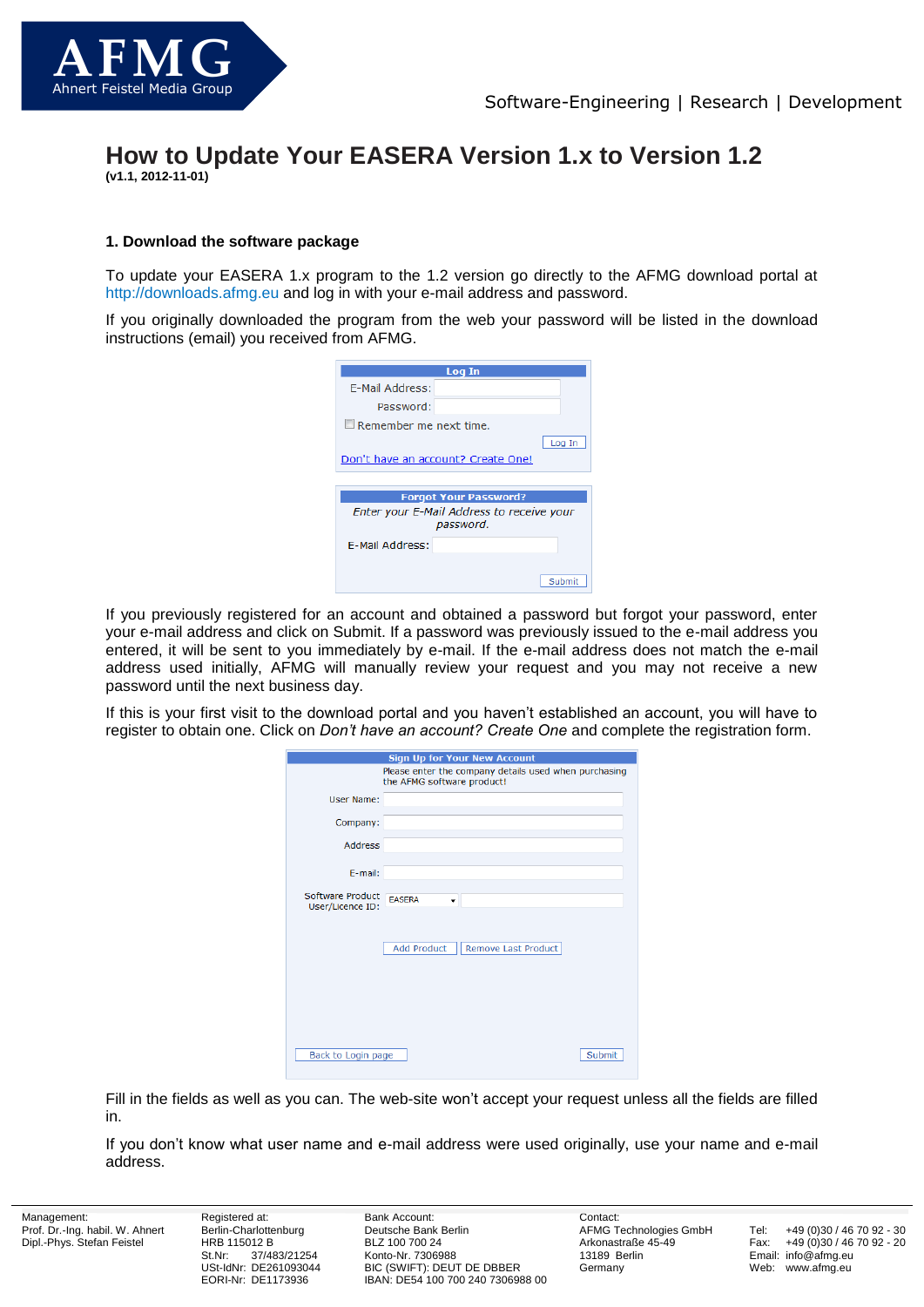

# **How to Update Your EASERA Version 1.x to Version 1.2 (v1.1, 2012-11-01)**

### **1. Download the software package**

To update your EASERA 1.x program to the 1.2 version go directly to the AFMG download portal at [http://downloads.afmg.eu](http://downloads.afmg.eu/) and log in with your e-mail address and password.

If you originally downloaded the program from the web your password will be listed in the download instructions (email) you received from AFMG.

| Log In                        |                                                        |  |  |  |
|-------------------------------|--------------------------------------------------------|--|--|--|
| <b>F-Mail Address:</b>        |                                                        |  |  |  |
| Password:                     |                                                        |  |  |  |
| $\Box$ Remember me next time. |                                                        |  |  |  |
|                               | Log In                                                 |  |  |  |
|                               | Don't have an account? Create One!                     |  |  |  |
|                               |                                                        |  |  |  |
|                               | <b>Forgot Your Password?</b>                           |  |  |  |
|                               | Enter your E-Mail Address to receive your<br>password. |  |  |  |
| E-Mail Address:               |                                                        |  |  |  |
|                               |                                                        |  |  |  |
|                               | Submit                                                 |  |  |  |

If you previously registered for an account and obtained a password but forgot your password, enter your e-mail address and click on Submit. If a password was previously issued to the e-mail address you entered, it will be sent to you immediately by e-mail. If the e-mail address does not match the e-mail address used initially, AFMG will manually review your request and you may not receive a new password until the next business day.

If this is your first visit to the download portal and you haven't established an account, you will have to register to obtain one. Click on *Don't have an account? Create One* and complete the registration form.

| <b>Sign Up for Your New Account</b>  |                                                                                     |  |
|--------------------------------------|-------------------------------------------------------------------------------------|--|
|                                      | Please enter the company details used when purchasing<br>the AFMG software product! |  |
| User Name:                           |                                                                                     |  |
| Company:                             |                                                                                     |  |
| <b>Address</b>                       |                                                                                     |  |
| E-mail:                              |                                                                                     |  |
| Software Product<br>User/Licence ID: | <b>EASERA</b><br>۰                                                                  |  |
|                                      | <b>Add Product</b><br>Remove Last Product                                           |  |
| Back to Login page                   | Submit                                                                              |  |

Fill in the fields as well as you can. The web-site won't accept your request unless all the fields are filled in.

If you don't know what user name and e-mail address were used originally, use your name and e-mail address.

Management: Prof. Dr.-Ing. habil. W. Ahnert Dipl.-Phys. Stefan Feistel

Registered at: Berlin-Charlottenburg HRB 115012 B<br>St.Nr: 37/48 37/483/21254 USt-IdNr: DE261093044 EORI-Nr: DE1173936

Bank Account: Deutsche Bank Berlin BLZ 100 700 24 Konto-Nr. 7306988 BIC (SWIFT): DEUT DE DBBER IBAN: DE54 100 700 240 7306988 00 Contact: AFMG Technologies GmbH Arkonastraße 45-49 13189 Berlin Germany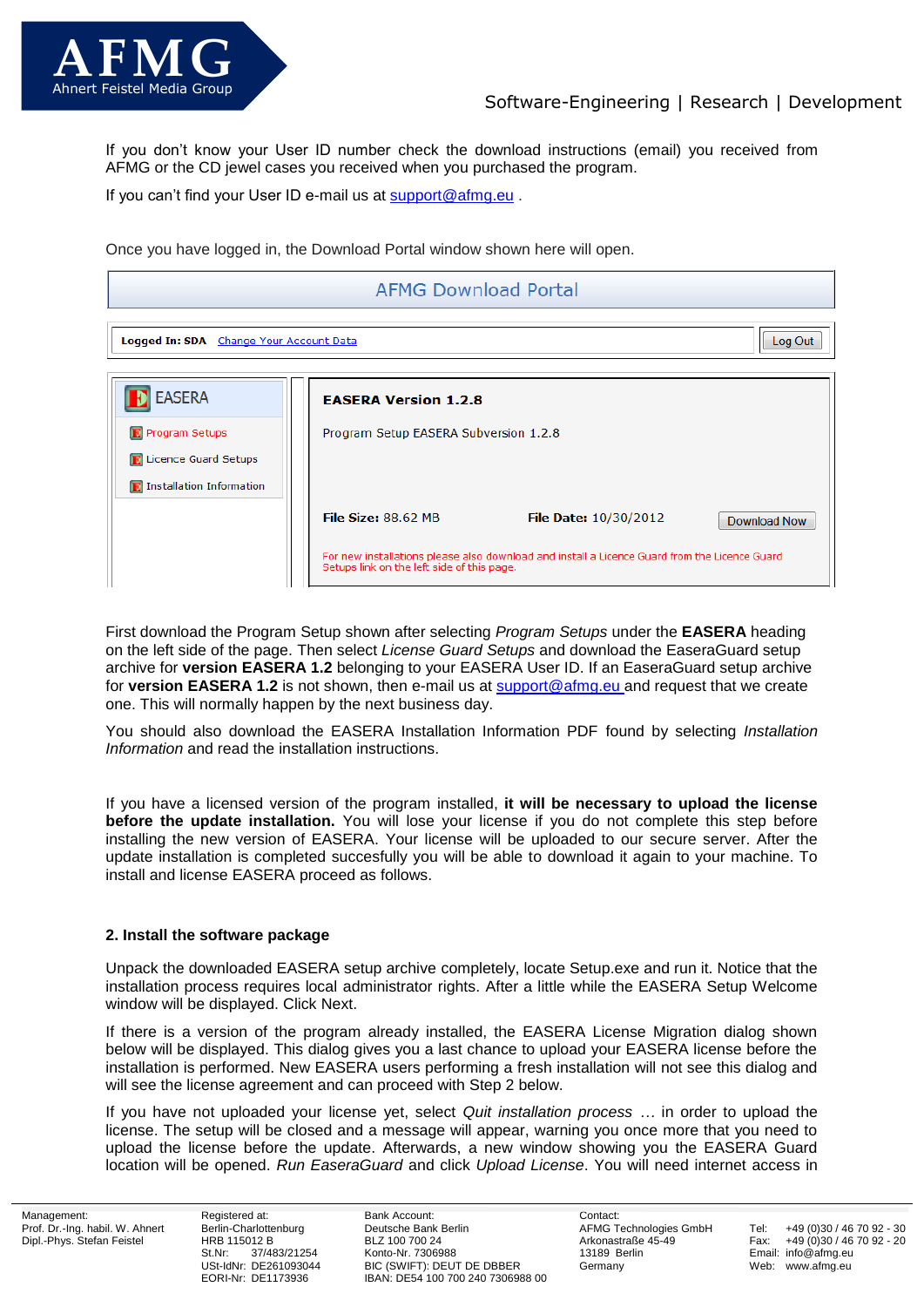

If you don't know your User ID number check the download instructions (email) you received from AFMG or the CD jewel cases you received when you purchased the program.

If you can't find your User ID e-mail us at [support@afmg.eu](mailto:support@afmg.eu).

Once you have logged in, the Download Portal window shown here will open.

# **AFMG Download Portal** Log Out Logged In: SDA Change Your Account Data **EASERA EASERA Version 1.2.8 E** Program Setups Program Setup EASERA Subversion 1.2.8 **R.** Licence Guard Setups **D** Installation Information File Size: 88.62 MB File Date: 10/30/2012 Download Now For new installations please also download and install a Licence Guard from the Licence Guard Setups link on the left side of this page.

First download the Program Setup shown after selecting *Program Setups* under the **EASERA** heading on the left side of the page. Then select *License Guard Setups* and download the EaseraGuard setup archive for **version EASERA 1.2** belonging to your EASERA User ID. If an EaseraGuard setup archive for **version EASERA 1.2** is not shown, then e-mail us at [support@afmg.eu](mailto:support@afmg.eu) and request that we create one. This will normally happen by the next business day.

You should also download the EASERA Installation Information PDF found by selecting *Installation Information* and read the installation instructions.

If you have a licensed version of the program installed, **it will be necessary to upload the license before the update installation.** You will lose your license if you do not complete this step before installing the new version of EASERA. Your license will be uploaded to our secure server. After the update installation is completed succesfully you will be able to download it again to your machine. To install and license EASERA proceed as follows.

## **2. Install the software package**

Unpack the downloaded EASERA setup archive completely, locate Setup.exe and run it. Notice that the installation process requires local administrator rights. After a little while the EASERA Setup Welcome window will be displayed. Click Next.

If there is a version of the program already installed, the EASERA License Migration dialog shown below will be displayed. This dialog gives you a last chance to upload your EASERA license before the installation is performed. New EASERA users performing a fresh installation will not see this dialog and will see the license agreement and can proceed with Step 2 below.

If you have not uploaded your license yet, select *Quit installation process …* in order to upload the license. The setup will be closed and a message will appear, warning you once more that you need to upload the license before the update. Afterwards, a new window showing you the EASERA Guard location will be opened. *Run EaseraGuard* and click *Upload License*. You will need internet access in

Registered at: Berlin-Charlottenburg HRB 115012 B<br>St Nr: 37/48 37/483/21254 USt-IdNr: DE261093044 EORI-Nr: DE1173936

Bank Account: Deutsche Bank Berlin BLZ 100 700 24 Konto-Nr. 7306988 BIC (SWIFT): DEUT DE DBBER IBAN: DE54 100 700 240 7306988 00 Contact: AFMG Technologies GmbH Arkonastraße 45-49 13189 Berlin Germany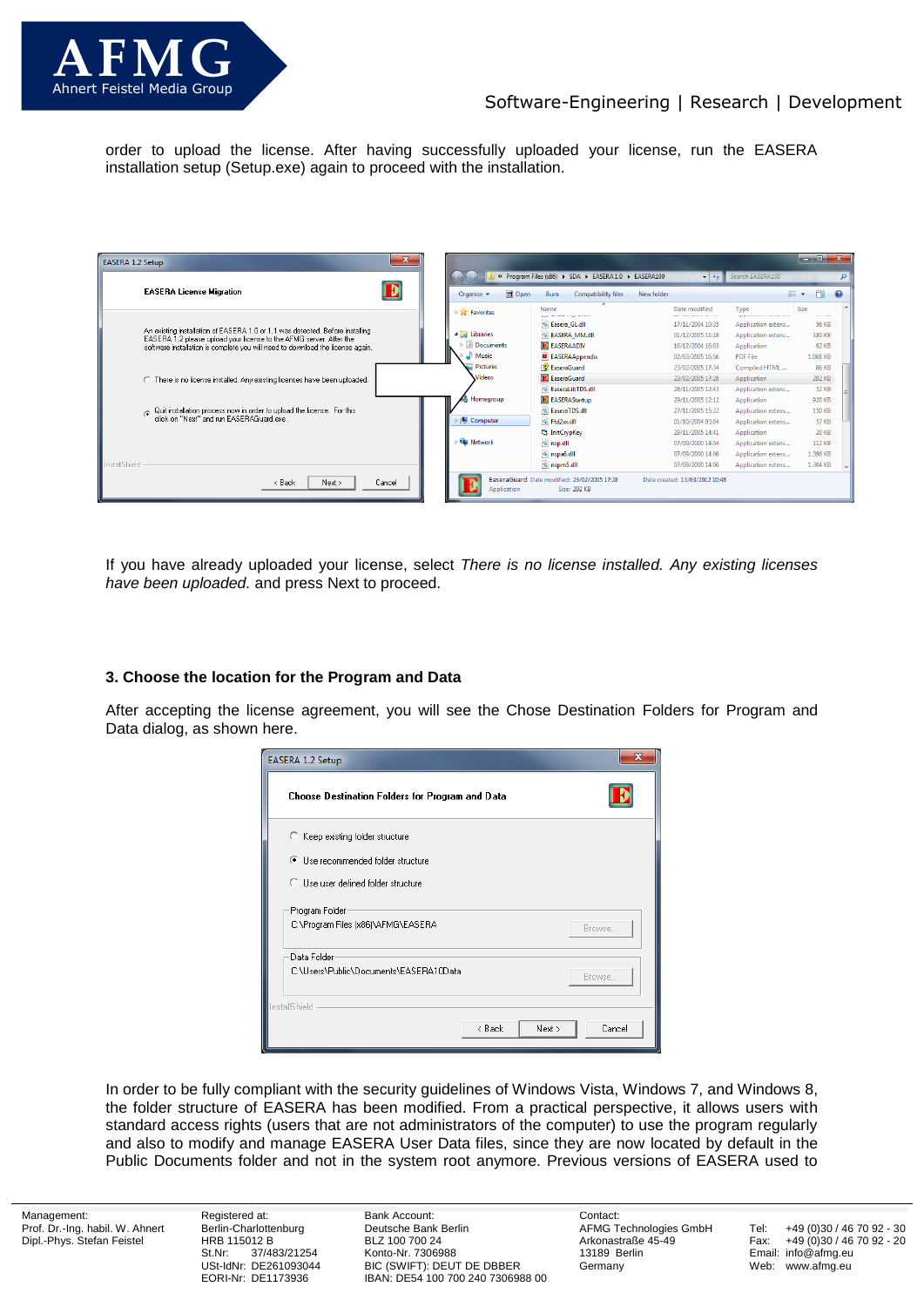

# Software-Engineering | Research | Development

order to upload the license. After having successfully uploaded your license, run the EASERA installation setup (Setup.exe) again to proceed with the installation.

| $\mathbf{x}$<br><b>EASERA 1.2 Setup</b>                                                                                                              |                                           |                                                             |                                  |                                            | الكاريب                            |  |
|------------------------------------------------------------------------------------------------------------------------------------------------------|-------------------------------------------|-------------------------------------------------------------|----------------------------------|--------------------------------------------|------------------------------------|--|
|                                                                                                                                                      |                                           | « Program Files (x86) > SDA > EASERA 1.0 > EASERA100        | $\mathbf{v}$ +                   | Search EASERA100                           |                                    |  |
| <b>EASERA License Migration</b>                                                                                                                      | Open<br>Organize v                        | <b>Compatibility files</b><br>Burn                          | New folder                       |                                            | FΠ<br>888 ▼                        |  |
|                                                                                                                                                      | <b>DET</b> Favorites                      | Name<br>ومستحرق والمستحدث والمرار                           | Date modified<br>--------------- | Type<br><u>. grepo respuesto anteriori</u> | <b>Size</b><br><b>Carl College</b> |  |
|                                                                                                                                                      |                                           | & Easera_GL.dll                                             | 17/11/2004 10:35                 | Application extens                         | 56 KB                              |  |
| An existing installation of EASERA 1.0 or 1.1 was detected. Before installing<br>EASERA 1.2 please upload your license to the AFMG server. After the | <b>4</b> Libraries                        | & EASERA MM.dll                                             | 01/12/2005 11:18                 | Application extens                         | <b>180 KB</b>                      |  |
| software installation is complete you will need to download the license again.                                                                       | $\triangleright$ $\blacksquare$ Documents | <b>E</b> EASERAADIV                                         | 16/12/2004 16:03                 | Application                                | 92 KB                              |  |
|                                                                                                                                                      | Music                                     | <b>EASERAAppendix</b>                                       | 02/03/2005 16:56                 | <b>PDF File</b>                            | 1.068 KB                           |  |
|                                                                                                                                                      | <b>Pictures</b>                           | <b>EaseraGuard</b>                                          | 23/02/2005 17:34                 | Compiled HTML                              | 86 KB                              |  |
| C There is no license installed. Any existing licenses have been uploaded.                                                                           | <b>Videos</b>                             | E EaseraGuard                                               | 23/02/2005 17:28                 | Application                                | 292 KB                             |  |
|                                                                                                                                                      |                                           | <sup>8</sup> EaseraLibTDS.dll                               | 28/11/2005 12:43                 | Application extens                         | 52 KB                              |  |
|                                                                                                                                                      | Homegroup                                 | <b>E</b> EASERAStartup                                      | 29/11/2005 12:12                 | Application                                | 920 KB                             |  |
| ⊙ Quit installation process now in order to upload the license. For this<br>click on "Next" and run EASERAGuard.exe .                                |                                           | & EaseraTDS.dll                                             | 27/11/2005 15:22                 | Application extens                         | <b>150 KB</b>                      |  |
|                                                                                                                                                      | Computer                                  | <sup>%</sup> Ftd2xx.dll                                     | 01/10/2004 03:04                 | Application extens                         | 57 KB                              |  |
|                                                                                                                                                      |                                           | <b>B</b> InitCrypKey                                        | 29/11/2005 14:41                 | Application                                | 20 KB                              |  |
|                                                                                                                                                      | <b>Gu</b> Network                         | o nsp.dll                                                   | 07/09/2000 14:04                 | Application extens                         | 112 KB                             |  |
|                                                                                                                                                      |                                           | hspa6.dll                                                   | 07/09/2000 14:06                 | Application extens                         | 1.396 KB                           |  |
| InstallShield                                                                                                                                        |                                           | <sup>®</sup> nspm5.dll                                      | 07/09/2000 14:06                 | Application extens                         | 1.304 KB                           |  |
| Cancel<br>< Back<br>Next >                                                                                                                           | Application                               | EaseraGuard Date modified: 23/02/2005 17:28<br>Size: 292 KB | Date created: 13/03/2012 10:48   |                                            |                                    |  |

If you have already uploaded your license, select *There is no license installed. Any existing licenses have been uploaded.* and press Next to proceed.

## **3. Choose the location for the Program and Data**

After accepting the license agreement, you will see the Chose Destination Folders for Program and Data dialog, as shown here.

| x<br>EASERA 1.2 Setup                                |                            |  |
|------------------------------------------------------|----------------------------|--|
| Choose Destination Folders for Program and Data      |                            |  |
| C Keep existing folder structure                     |                            |  |
| ● Use recommended folder structure                   |                            |  |
| C Use user defined folder structure                  |                            |  |
| Program Folder<br>C:\Program Files (x86)\AFMG\EASERA | Browse                     |  |
| Data Folder                                          |                            |  |
| C:\Users\Public\Documents\EASERA10Data<br>Browse     |                            |  |
| InstallShield                                        |                            |  |
|                                                      | Next ><br>Cancel<br>< Back |  |

In order to be fully compliant with the security guidelines of Windows Vista, Windows 7, and Windows 8, the folder structure of EASERA has been modified. From a practical perspective, it allows users with standard access rights (users that are not administrators of the computer) to use the program regularly and also to modify and manage EASERA User Data files, since they are now located by default in the Public Documents folder and not in the system root anymore. Previous versions of EASERA used to

Management: Prof. Dr.-Ing. habil. W. Ahnert Dipl.-Phys. Stefan Feistel

Registered at: Berlin-Charlottenburg HRB 115012 B St.Nr: 37/483/21254 USt-IdNr: DE261093044 EORI-Nr: DE1173936

Bank Account: Deutsche Bank Berlin BLZ 100 700 24 Konto-Nr. 7306988 BIC (SWIFT): DEUT DE DBBER IBAN: DE54 100 700 240 7306988 00 Contact: AFMG Technologies GmbH Arkonastraße 45-49 13189 Berlin Germany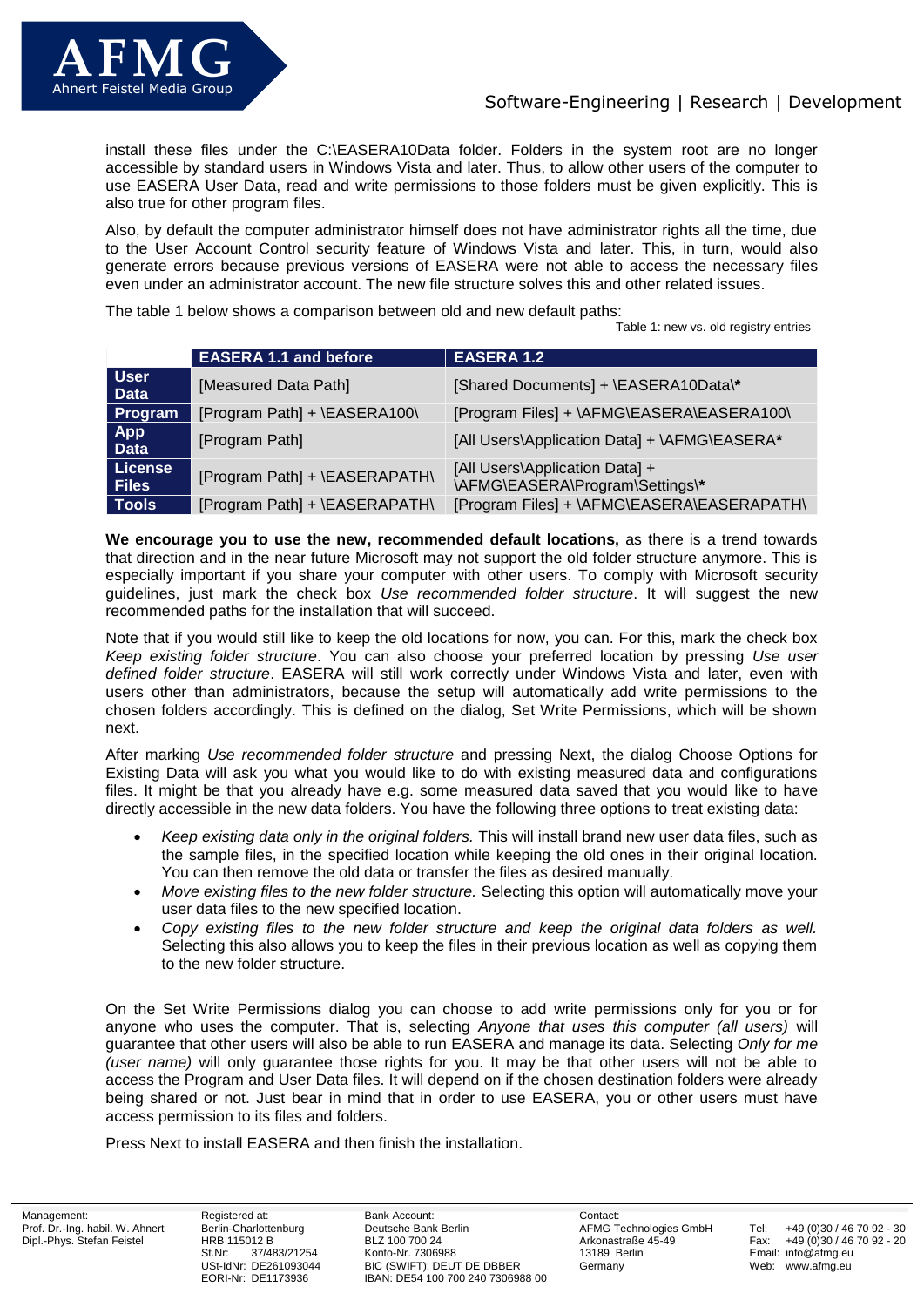

install these files under the C:\EASERA10Data folder. Folders in the system root are no longer accessible by standard users in Windows Vista and later. Thus, to allow other users of the computer to use EASERA User Data, read and write permissions to those folders must be given explicitly. This is also true for other program files.

Also, by default the computer administrator himself does not have administrator rights all the time, due to the User Account Control security feature of Windows Vista and later. This, in turn, would also generate errors because previous versions of EASERA were not able to access the necessary files even under an administrator account. The new file structure solves this and other related issues.

The table 1 below shows a comparison between old and new default paths:

Table 1: new vs. old registry entries

|                                | <b>EASERA 1.1 and before</b>  | <b>EASERA 1.2</b>                                                 |
|--------------------------------|-------------------------------|-------------------------------------------------------------------|
| <b>User</b><br><b>Data</b>     | [Measured Data Path]          | [Shared Documents] + \EASERA10Data\*                              |
| Program                        | [Program Path] + \EASERA100\  | [Program Files] + \AFMG\EASERA\EASERA100\                         |
| <b>App</b><br><b>Data</b>      | [Program Path]                | [All Users\Application Data] + \AFMG\EASERA*                      |
| <b>License</b><br><b>Files</b> | [Program Path] + \EASERAPATH\ | [All Users\Application Data] +<br>\AFMG\EASERA\Program\Settings\* |
| <b>Tools</b>                   | [Program Path] + \EASERAPATH\ | [Program Files] + \AFMG\EASERA\EASERAPATH\                        |

**We encourage you to use the new, recommended default locations,** as there is a trend towards that direction and in the near future Microsoft may not support the old folder structure anymore. This is especially important if you share your computer with other users. To comply with Microsoft security guidelines, just mark the check box *Use recommended folder structure*. It will suggest the new recommended paths for the installation that will succeed.

Note that if you would still like to keep the old locations for now, you can. For this, mark the check box *Keep existing folder structure*. You can also choose your preferred location by pressing *Use user defined folder structure*. EASERA will still work correctly under Windows Vista and later, even with users other than administrators, because the setup will automatically add write permissions to the chosen folders accordingly. This is defined on the dialog, Set Write Permissions, which will be shown next.

After marking *Use recommended folder structure* and pressing Next, the dialog Choose Options for Existing Data will ask you what you would like to do with existing measured data and configurations files. It might be that you already have e.g. some measured data saved that you would like to have directly accessible in the new data folders. You have the following three options to treat existing data:

- *Keep existing data only in the original folders.* This will install brand new user data files, such as the sample files, in the specified location while keeping the old ones in their original location. You can then remove the old data or transfer the files as desired manually.
- *Move existing files to the new folder structure.* Selecting this option will automatically move your user data files to the new specified location.
- *Copy existing files to the new folder structure and keep the original data folders as well.*  Selecting this also allows you to keep the files in their previous location as well as copying them to the new folder structure.

On the Set Write Permissions dialog you can choose to add write permissions only for you or for anyone who uses the computer. That is, selecting *Anyone that uses this computer (all users)* will guarantee that other users will also be able to run EASERA and manage its data. Selecting *Only for me (user name)* will only guarantee those rights for you. It may be that other users will not be able to access the Program and User Data files. It will depend on if the chosen destination folders were already being shared or not. Just bear in mind that in order to use EASERA, you or other users must have access permission to its files and folders.

Press Next to install EASERA and then finish the installation.